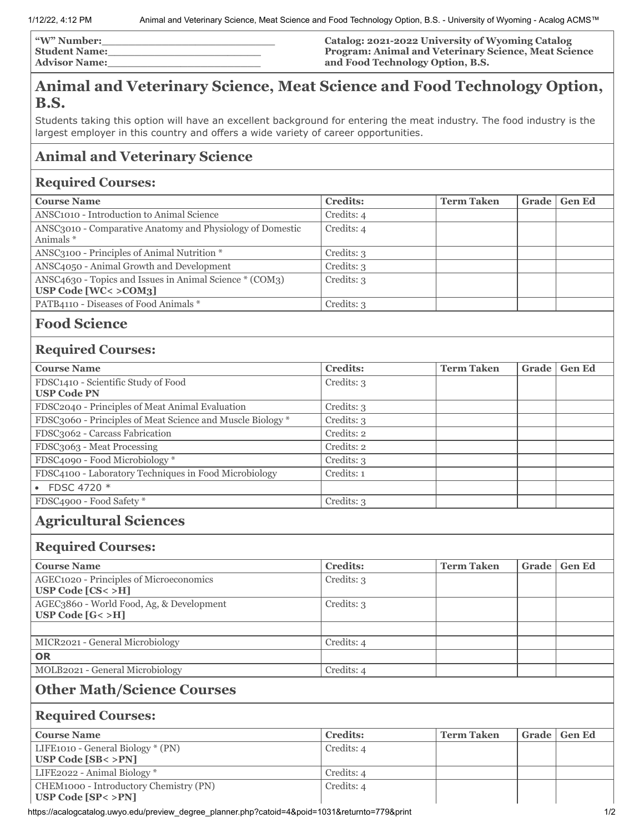| <b>W" Number:</b>    | Catalog: 2021-2022 University of Wyoming Catalog            |
|----------------------|-------------------------------------------------------------|
| <b>Student Name:</b> | <b>Program: Animal and Veterinary Science, Meat Science</b> |
| <b>Advisor Name:</b> | and Food Technology Option, B.S.                            |

# **Animal and Veterinary Science, Meat Science and Food Technology Option, B.S.**

Students taking this option will have an excellent background for entering the meat industry. The food industry is the largest employer in this country and offers a wide variety of career opportunities.

## **Animal and Veterinary Science**

#### **Required Courses:**

| <b>Course Name</b>                                                                 | <b>Credits:</b> | <b>Term Taken</b> | Grade | <b>Gen Ed</b> |
|------------------------------------------------------------------------------------|-----------------|-------------------|-------|---------------|
| ANSC <sub>1010</sub> - Introduction to Animal Science                              | Credits: 4      |                   |       |               |
| ANSC3010 - Comparative Anatomy and Physiology of Domestic<br>Animals *             | Credits: 4      |                   |       |               |
| ANSC3100 - Principles of Animal Nutrition *                                        | Credits: 3      |                   |       |               |
| ANSC4050 - Animal Growth and Development                                           | Credits: 3      |                   |       |               |
| ANSC4630 - Topics and Issues in Animal Science * (COM3)<br>USP Code $[WC < >COM3]$ | Credits: 3      |                   |       |               |
| PATB4110 - Diseases of Food Animals *                                              | Credits: 3      |                   |       |               |
|                                                                                    |                 |                   |       |               |

### **Food Science**

#### **Required Courses:**

| <b>Course Name</b>                                         | <b>Credits:</b> | <b>Term Taken</b> | Grade | <b>Gen Ed</b> |
|------------------------------------------------------------|-----------------|-------------------|-------|---------------|
| FDSC1410 - Scientific Study of Food                        | Credits: 3      |                   |       |               |
| <b>USP Code PN</b>                                         |                 |                   |       |               |
| FDSC2040 - Principles of Meat Animal Evaluation            | Credits: 3      |                   |       |               |
| FDSC3060 - Principles of Meat Science and Muscle Biology * | Credits: 3      |                   |       |               |
| FDSC3062 - Carcass Fabrication                             | Credits: 2      |                   |       |               |
| FDSC3063 - Meat Processing                                 | Credits: 2      |                   |       |               |
| FDSC4090 - Food Microbiology *                             | Credits: 3      |                   |       |               |
| FDSC4100 - Laboratory Techniques in Food Microbiology      | Credits: 1      |                   |       |               |
| • FDSC 4720 $*$                                            |                 |                   |       |               |
| FDSC4900 - Food Safety *                                   | Credits: 3      |                   |       |               |
|                                                            |                 |                   |       |               |

## **Agricultural Sciences**

### **Required Courses:**

| <b>Course Name</b>                                               | <b>Credits:</b> | <b>Term Taken</b> | Grade | <b>Gen Ed</b> |
|------------------------------------------------------------------|-----------------|-------------------|-------|---------------|
| AGEC1020 - Principles of Microeconomics<br>USP Code $[CS < > H]$ | Credits: 3      |                   |       |               |
| AGEC3860 - World Food, Ag, & Development<br>USP Code $[G< > H]$  | Credits: 3      |                   |       |               |
|                                                                  |                 |                   |       |               |
| MICR2021 - General Microbiology                                  | Credits: 4      |                   |       |               |
| <b>OR</b>                                                        |                 |                   |       |               |
| MOLB2021 - General Microbiology                                  | Credits: 4      |                   |       |               |

## **Other Math/Science Courses**

#### **Required Courses:**

| <b>Course Name</b>                     | <b>Credits:</b> | <b>Term Taken</b> | Grade   Gen Ed |
|----------------------------------------|-----------------|-------------------|----------------|
| LIFE1010 - General Biology * (PN)      | Credits: 4      |                   |                |
| USP Code $[SB < >PN]$                  |                 |                   |                |
| LIFE2022 - Animal Biology *            | Credits: 4      |                   |                |
| CHEM1000 - Introductory Chemistry (PN) | Credits: 4      |                   |                |
| USP Code $[SP < >PN]$                  |                 |                   |                |

https://acalogcatalog.uwyo.edu/preview\_degree\_planner.php?catoid=4&poid=1031&returnto=779&print 1/2